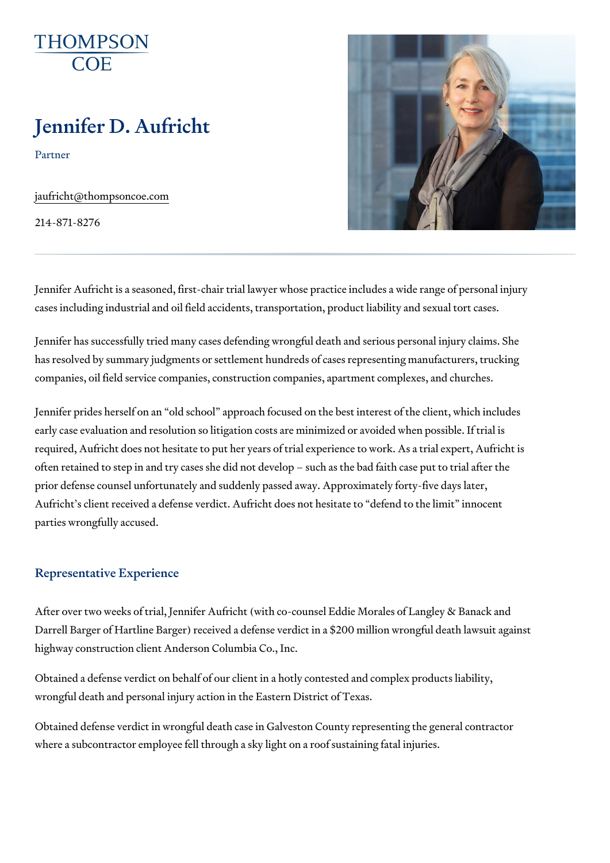# Jennifer D. Aufricht

Partner

[jaufricht@thomps](mailto:jaufricht@thompsoncoe.com)oncoe.com

214-871-8276

Jennifer Aufricht is a seasoned, first-chair trial lawyer whose practice inc cases including industrial and oil field accidents, transportation, product I

Jennifer has successfully tried many cases defending wrongful death and s has resolved by summary judgments or settlement hundreds of cases repre companies, oil field service companies, construction companies, apartment

Jennifer prides herself on an old school approach focused on the best in early case evaluation and resolution so litigation costs are minimized or a required, Aufricht does not hesitate to put her years of trial experience to often retained to step in and try cases she did not develop such as the b prior defense counsel unfortunately and suddenly passed away. Approximat Aufricht s client received a defense verdict. Aufricht does not hesitate to parties wrongfully accused.

# Representative Experience

After over two weeks of trial, Jennifer Aufricht (with co-counsel Eddie Mor Darrell Barger of Hartline Barger) received a defense verdict in a \$200 mil highway construction client Anderson Columbia Co., Inc.

Obtained a defense verdict on behalf of our client in a hotly contested and wrongful death and personal injury action in the Eastern District of Texas.

Obtained defense verdict in wrongful death case in Galveston County repre where a subcontractor employee fell through a sky light on a roof sustainin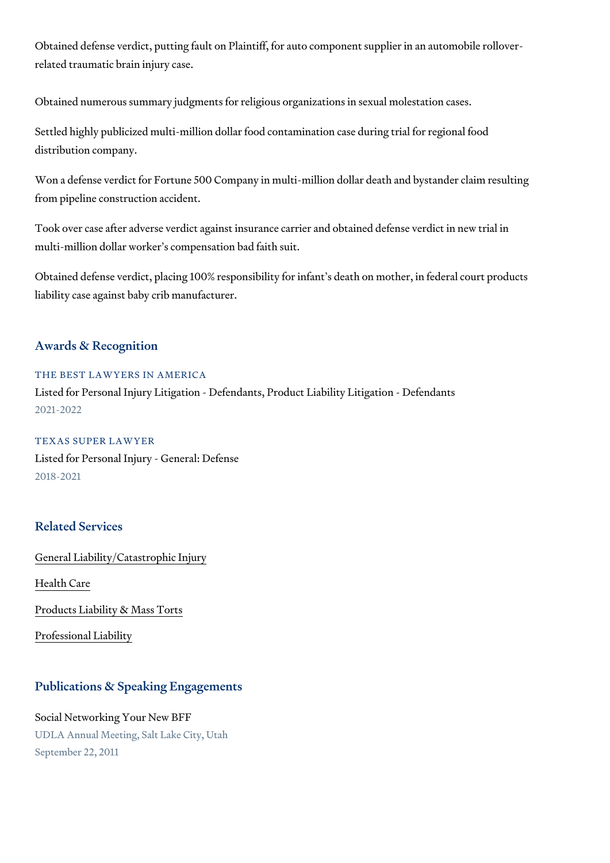Obtained defense verdict, putting fault on Plaintiff, for auto component su related traumatic brain injury case.

Obtained numerous summary judgments for religious organizations in sexual

Settled highly publicized multi-million dollar food contamination case during distribution company.

Won a defense verdict for Fortune 500 Company in multi-million dollar dea from pipeline construction accident.

Took over case after adverse verdict against insurance carrier and obtaine multi-million dollar worker s compensation bad faith suit.

Obtained defense verdict, placing 100% responsibility for infant s death or liability case against baby crib manufacturer.

## Awards & Recognition

#### THE BEST LAWYERS IN AMERICA

Listed for Personal Injury Litigation - Defendants, Product Liability Litigat 2021-2022

#### TEXAS SUPER LAWYER

Listed for Personal Injury - General: Defense 2018-2021

# Related Services

[General Liability/Catas](https://www.thompsoncoe.com/people/jennifer-d-aufricht/)trophic Injury

[Health](https://www.thompsoncoe.com/people/jennifer-d-aufricht/) Care

[Products Liability &](https://www.thompsoncoe.com/people/jennifer-d-aufricht/) Mass Torts

[Professional](https://www.thompsoncoe.com/people/jennifer-d-aufricht/) Liability

### Publications & Speaking Engagements

Social Networking Your New BFF UDLA Annual Meeting, Salt Lake City, Utah September 22, 2011